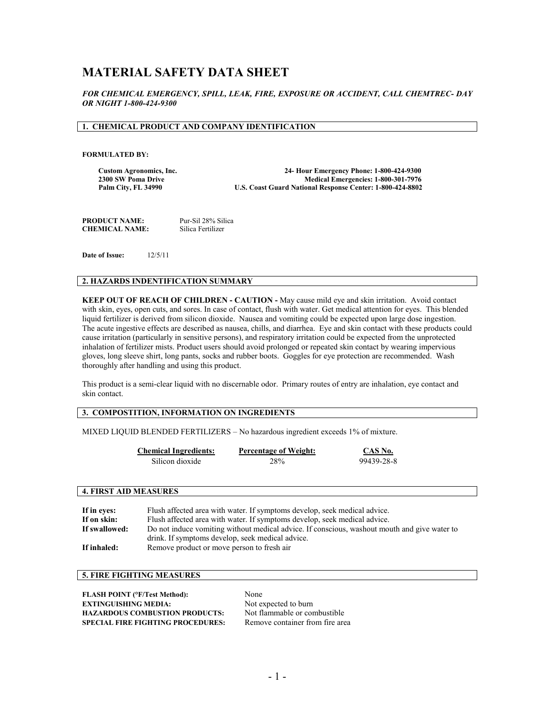# **MATERIAL SAFETY DATA SHEET**

*FOR CHEMICAL EMERGENCY, SPILL, LEAK, FIRE, EXPOSURE OR ACCIDENT, CALL CHEMTREC- DAY OR NIGHT 1-800-424-9300*

### **1. CHEMICAL PRODUCT AND COMPANY IDENTIFICATION**

#### **FORMULATED BY:**

**Custom Agronomics, Inc. 24- Hour Emergency Phone: 1-800-424-9300 2300 SW Poma Drive Medical Emergencies: 1-800-301-7976 U.S. Coast Guard National Response Center: 1-800-424-8802** 

**PRODUCT NAME:** Pur-Sil 28% Silica<br> **CHEMICAL NAME:** Silica Fertilizer **CHEMICAL NAME:** 

**Date of Issue:** 12/5/11

### **2. HAZARDS INDENTIFICATION SUMMARY**

**KEEP OUT OF REACH OF CHILDREN - CAUTION -** May cause mild eye and skin irritation. Avoid contact with skin, eyes, open cuts, and sores. In case of contact, flush with water. Get medical attention for eyes. This blended liquid fertilizer is derived from silicon dioxide. Nausea and vomiting could be expected upon large dose ingestion. The acute ingestive effects are described as nausea, chills, and diarrhea. Eye and skin contact with these products could cause irritation (particularly in sensitive persons), and respiratory irritation could be expected from the unprotected inhalation of fertilizer mists. Product users should avoid prolonged or repeated skin contact by wearing impervious gloves, long sleeve shirt, long pants, socks and rubber boots. Goggles for eye protection are recommended. Wash thoroughly after handling and using this product.

This product is a semi-clear liquid with no discernable odor. Primary routes of entry are inhalation, eye contact and skin contact.

# **3. COMPOSTITION, INFORMATION ON INGREDIENTS**

MIXED LIQUID BLENDED FERTILIZERS – No hazardous ingredient exceeds 1% of mixture.

| <b>Chemical Ingredients:</b> | <b>Percentage of Weight:</b> | CAS No.    |
|------------------------------|------------------------------|------------|
| Silicon dioxide              | 28%                          | 99439-28-8 |

### **4. FIRST AID MEASURES**

| If in eves:   | Flush affected area with water. If symptoms develop, seek medical advice.                    |
|---------------|----------------------------------------------------------------------------------------------|
| If on skin:   | Flush affected area with water. If symptoms develop, seek medical advice.                    |
| If swallowed: | Do not induce vomiting without medical advice. If conscious, washout mouth and give water to |
|               | drink. If symptoms develop, seek medical advice.                                             |
| If inhaled:   | Remove product or move person to fresh air                                                   |

# **5. FIRE FIGHTING MEASURES**

| <b>FLASH POINT (°F/Test Method):</b>     | None                            |
|------------------------------------------|---------------------------------|
| <b>EXTINGUISHING MEDIA:</b>              | Not expected to burn            |
| <b>HAZARDOUS COMBUSTION PRODUCTS:</b>    | Not flammable or combustible    |
| <b>SPECIAL FIRE FIGHTING PROCEDURES:</b> | Remove container from fire area |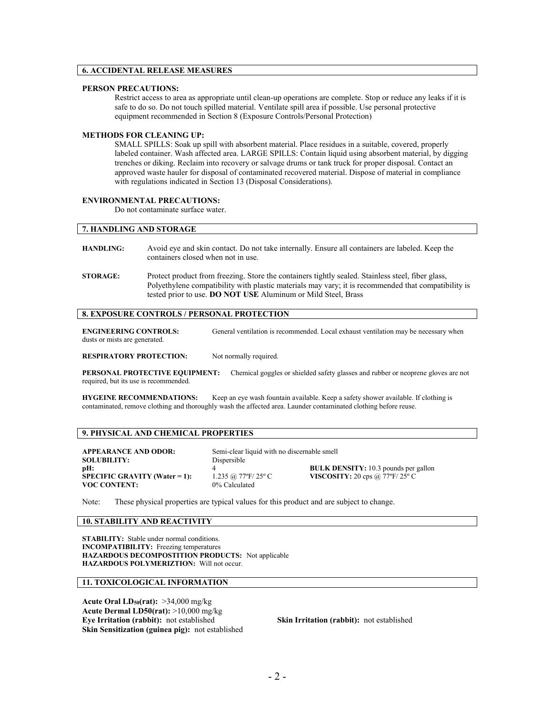## **6. ACCIDENTAL RELEASE MEASURES**

### **PERSON PRECAUTIONS:**

Restrict access to area as appropriate until clean-up operations are complete. Stop or reduce any leaks if it is safe to do so. Do not touch spilled material. Ventilate spill area if possible. Use personal protective equipment recommended in Section 8 (Exposure Controls/Personal Protection)

#### **METHODS FOR CLEANING UP:**

SMALL SPILLS: Soak up spill with absorbent material. Place residues in a suitable, covered, properly labeled container. Wash affected area. LARGE SPILLS: Contain liquid using absorbent material, by digging trenches or diking. Reclaim into recovery or salvage drums or tank truck for proper disposal. Contact an approved waste hauler for disposal of contaminated recovered material. Dispose of material in compliance with regulations indicated in Section 13 (Disposal Considerations).

#### **ENVIRONMENTAL PRECAUTIONS:**

Do not contaminate surface water.

# **7. HANDLING AND STORAGE**

| <b>HANDLING:</b> | Avoid eve and skin contact. Do not take internally. Ensure all containers are labeled. Keep the |
|------------------|-------------------------------------------------------------------------------------------------|
|                  | containers closed when not in use.                                                              |
|                  |                                                                                                 |

**STORAGE:** Protect product from freezing. Store the containers tightly sealed. Stainless steel, fiber glass, Polyethylene compatibility with plastic materials may vary; it is recommended that compatibility is tested prior to use. **DO NOT USE** Aluminum or Mild Steel, Brass

### **8. EXPOSURE CONTROLS / PERSONAL PROTECTION**

| <b>ENGINEERING CONTROLS:</b>  | General ventilation is recommended. Local exhaust ventilation may be necessary when |
|-------------------------------|-------------------------------------------------------------------------------------|
| dusts or mists are generated. |                                                                                     |

**RESPIRATORY PROTECTION:** Not normally required.

**PERSONAL PROTECTIVE EQUIPMENT:** Chemical goggles or shielded safety glasses and rubber or neoprene gloves are not required, but its use is recommended.

**HYGEINE RECOMMENDATIONS:** Keep an eye wash fountain available. Keep a safety shower available. If clothing is contaminated, remove clothing and thoroughly wash the affected area. Launder contaminated clothing before reuse.

# **9. PHYSICAL AND CHEMICAL PROPERTIES**

**APPEARANCE AND ODOR:** Semi-clear liquid with no discernable smell **SOLUBILITY:** Dispersible pH: 4 **VOC CONTENT:** 

**SPECIFIC GRAVITY: 20 cps @ 77°F/ 25° C VISCOSITY: 20** cps @ 77°F/ 25° C

**pH:**  $4 \overline{3}$  **BULK DENSITY:** 10.3 pounds per gallon<br>**SPECIFIC GRAVITY (Water = 1):**  $1.235 \text{ @.}77^{\circ}F/25^{\circ}C$  **VISCOSITY:** 20 cps @ 77°F/25° C

Note: These physical properties are typical values for this product and are subject to change.

### **10. STABILITY AND REACTIVITY**

**STABILITY:** Stable under normal conditions. **INCOMPATIBILITY:** Freezing temperatures **HAZARDOUS DECOMPOSTITION PRODUCTS:** Not applicable **HAZARDOUS POLYMERIZTION:** Will not occur.

### **11. TOXICOLOGICAL INFORMATION**

**Acute Oral LD50(rat):** >34,000 mg/kg **Acute Dermal LD50(rat):** >10,000 mg/kg<br>**Eye Irritation (rabbit):** not established **Skin Sensitization (guinea pig):** not established

**Skin Irritation (rabbit):** not established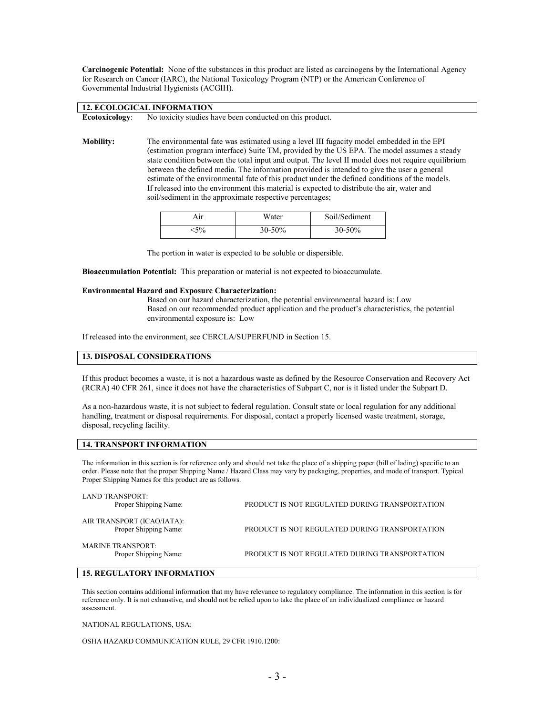**Carcinogenic Potential:** None of the substances in this product are listed as carcinogens by the International Agency for Research on Cancer (IARC), the National Toxicology Program (NTP) or the American Conference of Governmental Industrial Hygienists (ACGIH).

| 12. ECOLOGICAL INFORMATION |                                                                                                |  |
|----------------------------|------------------------------------------------------------------------------------------------|--|
|                            | <b>Ecotoxicology:</b> No toxicity studies have been conducted on this product.                 |  |
|                            |                                                                                                |  |
| $M_{\odot}$ ), $2124$      | The continent entil fate may extingted main a claim HTL fragmitic and del carbodded in the TDL |  |

**Mobility:** The environmental fate was estimated using a level III fugacity model embedded in the EPI (estimation program interface) Suite TM, provided by the US EPA. The model assumes a steady state condition between the total input and output. The level II model does not require equilibrium between the defined media. The information provided is intended to give the user a general estimate of the environmental fate of this product under the defined conditions of the models. If released into the environment this material is expected to distribute the air, water and soil/sediment in the approximate respective percentages;

| Aır   | Water  | Soil/Sediment |
|-------|--------|---------------|
| $5\%$ | 30-50% | $30 - 50%$    |

The portion in water is expected to be soluble or dispersible.

**Bioaccumulation Potential:** This preparation or material is not expected to bioaccumulate.

#### **Environmental Hazard and Exposure Characterization:**

Based on our hazard characterization, the potential environmental hazard is: Low Based on our recommended product application and the product's characteristics, the potential environmental exposure is: Low

If released into the environment, see CERCLA/SUPERFUND in Section 15.

### **13. DISPOSAL CONSIDERATIONS**

If this product becomes a waste, it is not a hazardous waste as defined by the Resource Conservation and Recovery Act (RCRA) 40 CFR 261, since it does not have the characteristics of Subpart C, nor is it listed under the Subpart D.

As a non-hazardous waste, it is not subject to federal regulation. Consult state or local regulation for any additional handling, treatment or disposal requirements. For disposal, contact a properly licensed waste treatment, storage, disposal, recycling facility.

### **14. TRANSPORT INFORMATION**

The information in this section is for reference only and should not take the place of a shipping paper (bill of lading) specific to an order. Please note that the proper Shipping Name / Hazard Class may vary by packaging, properties, and mode of transport. Typical Proper Shipping Names for this product are as follows.

| LAND TRANSPORT:<br>Proper Shipping Name:            | PRODUCT IS NOT REGULATED DURING TRANSPORTATION |
|-----------------------------------------------------|------------------------------------------------|
| AIR TRANSPORT (ICAO/IATA):<br>Proper Shipping Name: | PRODUCT IS NOT REGULATED DURING TRANSPORTATION |
| <b>MARINE TRANSPORT:</b><br>Proper Shipping Name:   | PRODUCT IS NOT REGULATED DURING TRANSPORTATION |

### **15. REGULATORY INFORMATION**

This section contains additional information that my have relevance to regulatory compliance. The information in this section is for reference only. It is not exhaustive, and should not be relied upon to take the place of an individualized compliance or hazard assessment.

NATIONAL REGULATIONS, USA:

OSHA HAZARD COMMUNICATION RULE, 29 CFR 1910.1200: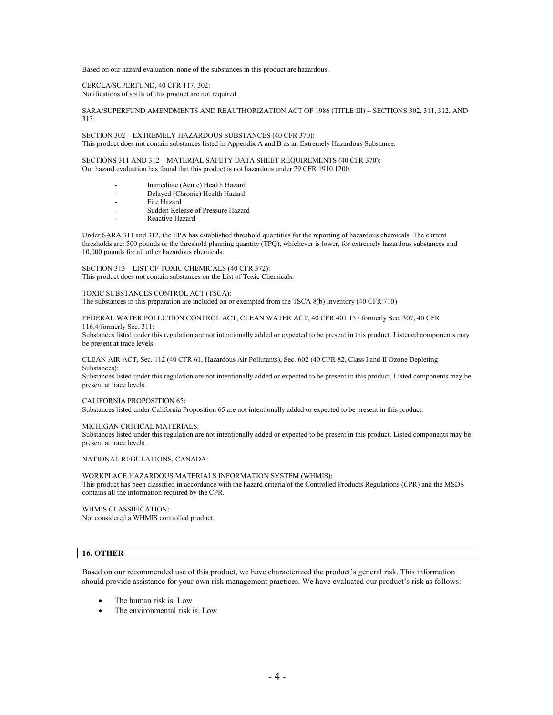Based on our hazard evaluation, none of the substances in this product are hazardous.

CERCLA/SUPERFUND, 40 CFR 117, 302: Notifications of spills of this product are not required.

SARA/SUPERFUND AMENDMENTS AND REAUTHORIZATION ACT OF 1986 (TITLE III) – SECTIONS 302, 311, 312, AND 313:

SECTION 302 – EXTREMELY HAZARDOUS SUBSTANCES (40 CFR 370): This product does not contain substances listed in Appendix A and B as an Extremely Hazardous Substance.

SECTIONS 311 AND 312 – MATERIAL SAFETY DATA SHEET REQUIREMENTS (40 CFR 370): Our hazard evaluation has found that this product is not hazardous under 29 CFR 1910.1200.

- Immediate (Acute) Health Hazard
- Delayed (Chronic) Health Hazard
- Fire Hazard
- Sudden Release of Pressure Hazard
- Reactive Hazard

Under SARA 311 and 312, the EPA has established threshold quantities for the reporting of hazardous chemicals. The current thresholds are: 500 pounds or the threshold planning quantity (TPQ), whichever is lower, for extremely hazardous substances and 10,000 pounds for all other hazardous chemicals.

SECTION 313 – LIST OF TOXIC CHEMICALS (40 CFR 372): This product does not contain substances on the List of Toxic Chemicals.

TOXIC SUBSTANCES CONTROL ACT (TSCA): The substances in this preparation are included on or exempted from the TSCA 8(b) Inventory (40 CFR 710)

FEDERAL WATER POLLUTION CONTROL ACT, CLEAN WATER ACT, 40 CFR 401.15 / formerly Sec. 307, 40 CFR 116.4/formerly Sec. 311:

Substances listed under this regulation are not intentionally added or expected to be present in this product. Listened components may be present at trace levels.

#### CLEAN AIR ACT, Sec. 112 (40 CFR 61, Hazardous Air Pollutants), Sec. 602 (40 CFR 82, Class I and II Ozone Depleting Substances):

Substances listed under this regulation are not intentionally added or expected to be present in this product. Listed components may be present at trace levels.

#### CALIFORNIA PROPOSITION 65:

Substances listed under California Proposition 65 are not intentionally added or expected to be present in this product.

#### MICHIGAN CRITICAL MATERIALS:

Substances listed under this regulation are not intentionally added or expected to be present in this product. Listed components may be present at trace levels.

NATIONAL REGULATIONS, CANADA:

WORKPLACE HAZARDOUS MATERIALS INFORMATION SYSTEM (WHMIS): This product has been classified in accordance with the hazard criteria of the Controlled Products Regulations (CPR) and the MSDS contains all the information required by the CPR.

WHMIS CLASSIFICATION: Not considered a WHMIS controlled product.

#### **16. OTHER**

Based on our recommended use of this product, we have characterized the product's general risk. This information should provide assistance for your own risk management practices. We have evaluated our product's risk as follows:

- The human risk is: Low
- The environmental risk is: Low